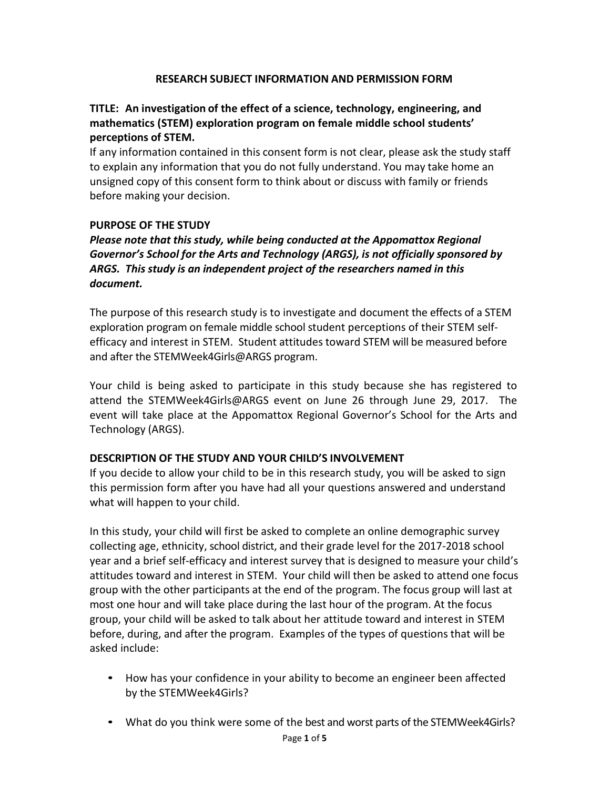# **RESEARCH SUBJECT INFORMATION AND PERMISSION FORM**

# **TITLE: An investigation of the effect of a science, technology, engineering, and mathematics (STEM) exploration program on female middle school students' perceptions of STEM.**

If any information contained in this consent form is not clear, please ask the study staff to explain any information that you do not fully understand. You may take home an unsigned copy of this consent form to think about or discuss with family or friends before making your decision.

# **PURPOSE OF THE STUDY**

# *Please note that this study, while being conducted at the Appomattox Regional Governor's School for the Arts and Technology (ARGS), is not officially sponsored by ARGS. This study is an independent project of the researchers named in this document.*

The purpose of this research study is to investigate and document the effects of a STEM exploration program on female middle school student perceptions of their STEM selfefficacy and interest in STEM. Student attitudes toward STEM will be measured before and after the STEMWeek4Girls@ARGS program.

Your child is being asked to participate in this study because she has registered to attend the STEMWeek4Girls@ARGS event on June 26 through June 29, 2017. The event will take place at the Appomattox Regional Governor's School for the Arts and Technology (ARGS).

### **DESCRIPTION OF THE STUDY AND YOUR CHILD'S INVOLVEMENT**

If you decide to allow your child to be in this research study, you will be asked to sign this permission form after you have had all your questions answered and understand what will happen to your child.

In this study, your child will first be asked to complete an online demographic survey collecting age, ethnicity, school district, and their grade level for the 2017-2018 school year and a brief self-efficacy and interest survey that is designed to measure your child's attitudes toward and interest in STEM. Your child will then be asked to attend one focus group with the other participants at the end of the program. The focus group will last at most one hour and will take place during the last hour of the program. At the focus group, your child will be asked to talk about her attitude toward and interest in STEM before, during, and after the program. Examples of the types of questions that will be asked include:

- How has your confidence in your ability to become an engineer been affected by the STEMWeek4Girls?
- What do you think were some of the best and worst parts of the STEMWeek4Girls?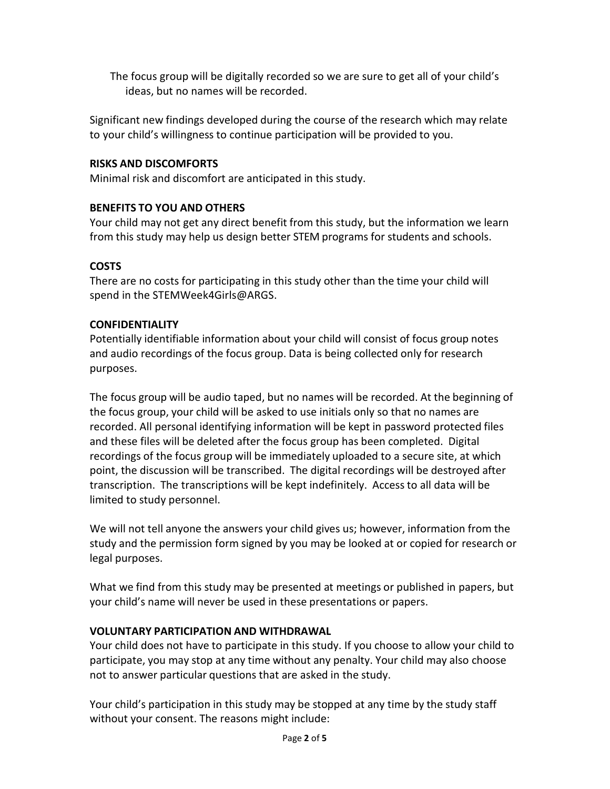The focus group will be digitally recorded so we are sure to get all of your child's ideas, but no names will be recorded.

Significant new findings developed during the course of the research which may relate to your child's willingness to continue participation will be provided to you.

# **RISKS AND DISCOMFORTS**

Minimal risk and discomfort are anticipated in this study.

### **BENEFITS TO YOU AND OTHERS**

Your child may not get any direct benefit from this study, but the information we learn from this study may help us design better STEM programs for students and schools.

### **COSTS**

There are no costs for participating in this study other than the time your child will spend in the STEMWeek4Girls@ARGS.

### **CONFIDENTIALITY**

Potentially identifiable information about your child will consist of focus group notes and audio recordings of the focus group. Data is being collected only for research purposes.

The focus group will be audio taped, but no names will be recorded. At the beginning of the focus group, your child will be asked to use initials only so that no names are recorded. All personal identifying information will be kept in password protected files and these files will be deleted after the focus group has been completed. Digital recordings of the focus group will be immediately uploaded to a secure site, at which point, the discussion will be transcribed. The digital recordings will be destroyed after transcription. The transcriptions will be kept indefinitely. Access to all data will be limited to study personnel.

We will not tell anyone the answers your child gives us; however, information from the study and the permission form signed by you may be looked at or copied for research or legal purposes.

What we find from this study may be presented at meetings or published in papers, but your child's name will never be used in these presentations or papers.

### **VOLUNTARY PARTICIPATION AND WITHDRAWAL**

Your child does not have to participate in this study. If you choose to allow your child to participate, you may stop at any time without any penalty. Your child may also choose not to answer particular questions that are asked in the study.

Your child's participation in this study may be stopped at any time by the study staff without your consent. The reasons might include: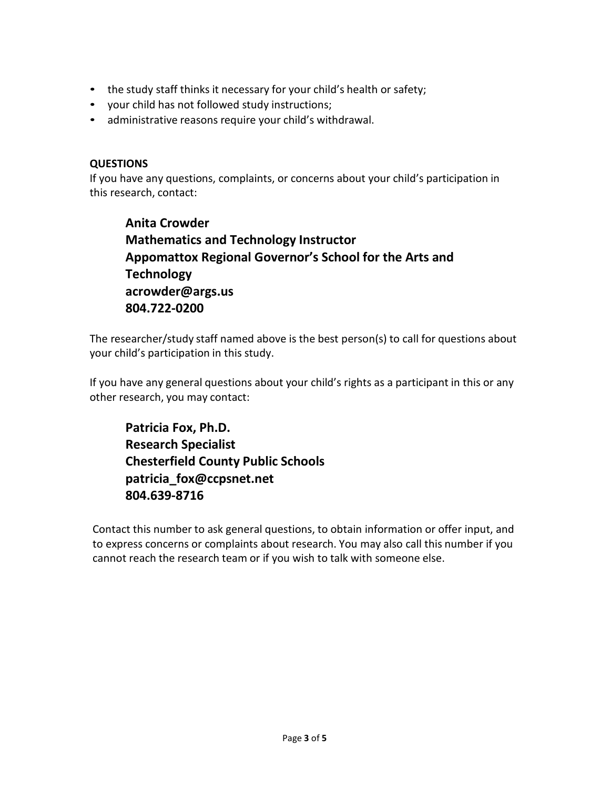- the study staff thinks it necessary for your child's health or safety;
- your child has not followed study instructions;
- administrative reasons require your child's withdrawal.

# **QUESTIONS**

If you have any questions, complaints, or concerns about your child's participation in this research, contact:

**Anita Crowder Mathematics and Technology Instructor Appomattox Regional Governor's School for the Arts and Technology [acrowder@args.us](mailto:acrowder@args.us) 804.722-0200**

The researcher/study staff named above is the best person(s) to call for questions about your child's participation in this study.

If you have any general questions about your child's rights as a participant in this or any other research, you may contact:

**Patricia Fox, Ph.D. Research Specialist Chesterfield County Public School[s](mailto:patricia_fox@ccpsnet.net) [patricia\\_fox@ccpsnet.net](mailto:patricia_fox@ccpsnet.net) 804.639-8716**

Contact this number to ask general questions, to obtain information or offer input, and to express concerns or complaints about research. You may also call this number if you cannot reach the research team or if you wish to talk with someone else.